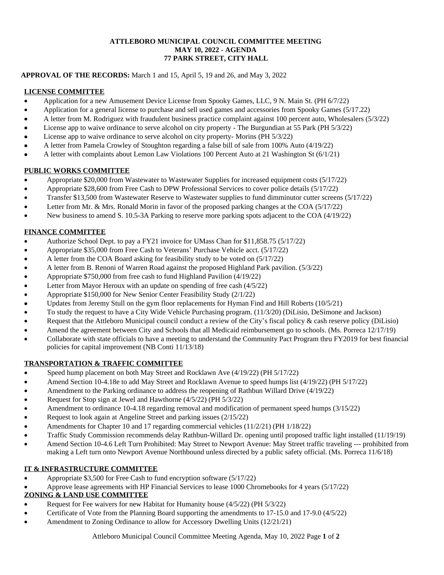## **ATTLEBORO MUNICIPAL COUNCIL COMMITTEE MEETING MAY 10, 2022 - AGENDA 77 PARK STREET, CITY HALL**

## **APPROVAL OF THE RECORDS:** March 1 and 15, April 5, 19 and 26, and May 3, 2022

# **LICENSE COMMITTEE**

- Application for a new Amusement Device License from Spooky Games, LLC, 9 N. Main St. (PH 6/7/22)
- Application for a general license to purchase and sell used games and accessories from Spooky Games (5/17.22)
- A letter from M. Rodriguez with fraudulent business practice complaint against 100 percent auto, Wholesalers (5/3/22)
- License app to waive ordinance to serve alcohol on city property The Burgundian at 55 Park (PH 5/3/22)
- License app to waive ordinance to serve alcohol on city property- Morins (PH 5/3/22)
- A letter from Pamela Crowley of Stoughton regarding a false bill of sale from 100% Auto (4/19/22)
- A letter with complaints about Lemon Law Violations 100 Percent Auto at 21 Washington St (6/1/21)

## **PUBLIC WORKS COMMITTEE**

- Appropriate \$20,000 from Wastewater to Wastewater Supplies for increased equipment costs (5/17/22)
- Appropriate \$28,600 from Free Cash to DPW Professional Services to cover police details (5/17/22)
- Transfer \$13,500 from Wastewater Reserve to Wastewater supplies to fund dimminutor cutter screens (5/17/22)
- Letter from Mr. & Mrs. Ronald Morin in favor of the proposed parking changes at the COA (5/17/22)
- New business to amend S. 10.5-3A Parking to reserve more parking spots adjacent to the COA (4/19/22)

# **FINANCE COMMITTEE**

- Authorize School Dept. to pay a FY21 invoice for UMass Chan for \$11,858.75 (5/17/22)
- Appropriate \$35,000 from Free Cash to Veterans' Purchase Vehicle acct. (5/17/22)
- A letter from the COA Board asking for feasibility study to be voted on (5/17/22)
- A letter from B. Renoni of Warren Road against the proposed Highland Park pavilion. (5/3/22)
- Appropriate \$750,000 from free cash to fund Highland Pavilion (4/19/22)
- Letter from Mayor Heroux with an update on spending of free cash (4/5/22)
- Appropriate \$150,000 for New Senior Center Feasibility Study (2/1/22)
- Updates from Jeremy Stull on the gym floor replacements for Hyman Find and Hill Roberts (10/5/21)
- To study the request to have a City Wide Vehicle Purchasing program. (11/3/20) (DiLisio, DeSimone and Jackson)
- Request that the Attleboro Municipal council conduct a review of the City's fiscal policy & cash reserve policy (DiLisio)
- Amend the agreement between City and Schools that all Medicaid reimbursement go to schools. (Ms. Porreca 12/17/19)
- Collaborate with state officials to have a meeting to understand the Community Pact Program thru FY2019 for best financial policies for capital improvement (NB Conti 11/13/18)

# **TRANSPORTATION & TRAFFIC COMMITTEE**

- Speed hump placement on both May Street and Rocklawn Ave (4/19/22) (PH 5/17/22)
- Amend Section 10-4.18e to add May Street and Rocklawn Avenue to speed humps list (4/19/22) (PH 5/17/22)
- Amendment to the Parking ordinance to address the reopening of Rathbun Willard Drive (4/19/22)
- Request for Stop sign at Jewel and Hawthorne (4/5/22) (PH 5/3/22)
- Amendment to ordinance 10-4.18 regarding removal and modification of permanent speed humps (3/15/22)
- Request to look again at Angeline Street and parking issues (2/15/22)
- Amendments for Chapter 10 and 17 regarding commercial vehicles (11/2/21) (PH 1/18/22)
- Traffic Study Commission recommends delay Rathbun-Willard Dr. opening until proposed traffic light installed (11/19/19)
- Amend Section 10-4.6 Left Turn Prohibited: May Street to Newport Avenue: May Street traffic traveling --- prohibited from making a Left turn onto Newport Avenue Northbound unless directed by a public safety official. (Ms. Porreca 11/6/18)

# **IT & INFRASTRUCTURE COMMITTEE**

- Appropriate \$3,500 for Free Cash to fund encryption software (5/17/22)
- Approve lease agreements with HP Financial Services to lease 1000 Chromebooks for 4 years (5/17/22)

# **ZONING & LAND USE COMMITTEE**

- Request for Fee waivers for new Habitat for Humanity house (4/5/22) (PH 5/3/22)
- Certificate of Vote from the Planning Board supporting the amendments to 17-15.0 and 17-9.0 (4/5/22)
- Amendment to Zoning Ordinance to allow for Accessory Dwelling Units (12/21/21)